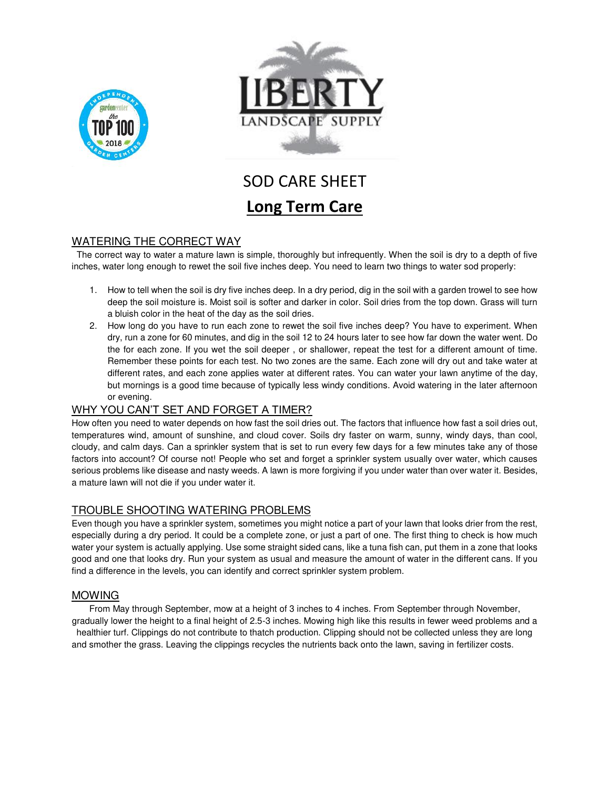



# SOD CARE SHEET **Long Term Care**

# WATERING THE CORRECT WAY

 The correct way to water a mature lawn is simple, thoroughly but infrequently. When the soil is dry to a depth of five inches, water long enough to rewet the soil five inches deep. You need to learn two things to water sod properly:

- 1. How to tell when the soil is dry five inches deep. In a dry period, dig in the soil with a garden trowel to see how deep the soil moisture is. Moist soil is softer and darker in color. Soil dries from the top down. Grass will turn a bluish color in the heat of the day as the soil dries.
- 2. How long do you have to run each zone to rewet the soil five inches deep? You have to experiment. When dry, run a zone for 60 minutes, and dig in the soil 12 to 24 hours later to see how far down the water went. Do the for each zone. If you wet the soil deeper , or shallower, repeat the test for a different amount of time. Remember these points for each test. No two zones are the same. Each zone will dry out and take water at different rates, and each zone applies water at different rates. You can water your lawn anytime of the day, but mornings is a good time because of typically less windy conditions. Avoid watering in the later afternoon or evening.

# WHY YOU CAN'T SET AND FORGET A TIMER?

How often you need to water depends on how fast the soil dries out. The factors that influence how fast a soil dries out, temperatures wind, amount of sunshine, and cloud cover. Soils dry faster on warm, sunny, windy days, than cool, cloudy, and calm days. Can a sprinkler system that is set to run every few days for a few minutes take any of those factors into account? Of course not! People who set and forget a sprinkler system usually over water, which causes serious problems like disease and nasty weeds. A lawn is more forgiving if you under water than over water it. Besides, a mature lawn will not die if you under water it.

# TROUBLE SHOOTING WATERING PROBLEMS

Even though you have a sprinkler system, sometimes you might notice a part of your lawn that looks drier from the rest, especially during a dry period. It could be a complete zone, or just a part of one. The first thing to check is how much water your system is actually applying. Use some straight sided cans, like a tuna fish can, put them in a zone that looks good and one that looks dry. Run your system as usual and measure the amount of water in the different cans. If you find a difference in the levels, you can identify and correct sprinkler system problem.

#### MOWING

From May through September, mow at a height of 3 inches to 4 inches. From September through November, gradually lower the height to a final height of 2.5-3 inches. Mowing high like this results in fewer weed problems and a

healthier turf. Clippings do not contribute to thatch production. Clipping should not be collected unless they are long and smother the grass. Leaving the clippings recycles the nutrients back onto the lawn, saving in fertilizer costs.